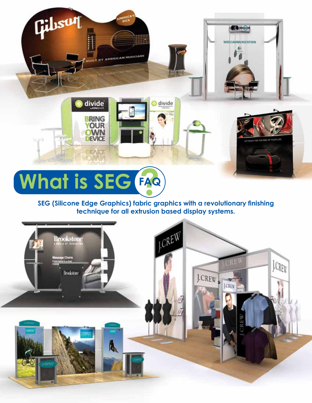divide

**BRING** 

**YOUR**<br>OWN **DEVICE** 

ENCE

BY AMERICAN MUSICIANS

Gilbsun

### **SEG (Silicone Edge Graphics) fabric graphics with a revolutionary finishing technique for all extrusion based display systems.**

divide

CO-

WEECAMMUNICATION 6.

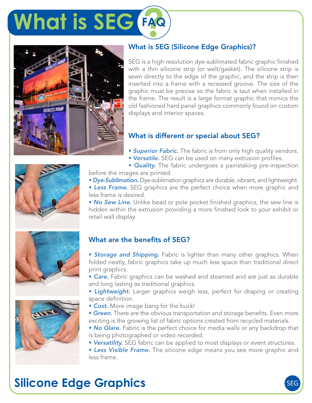



### What is SEG (Silicone Edge Graphics)?

SEG is a high-resolution dye-sublimated fabric graphic finished with a thin silicone strip (or welt/gasket). The silicone strip is sewn directly to the edge of the graphic, and the strip is then inserted into a frame with a recessed groove. The size of the graphic must be precise so the fabric is taut when installed in the frame. The result is a large format graphic that mimics the old fashioned hard panel graphics commonly found on custom displays and interior spaces.

### What is different or special about SEG?

- *Superior Fabric.* The fabric is from only high quality vendors.
- *Versatile.* SEG can be used on many extrusion profiles.



• *Dye-Sublimation.* Dye-sublimation graphics are durable, vibrant, and lightweight. • *Less Frame.* SEG graphics are the perfect choice when more graphic and less frame is desired.

• *No Sew Line.* Unlike bead or pole pocket finished graphics, the sew line is hidden within the extrusion providing a more finished look to your exhibit or retail wall display.

### What are the benefits of SEG?

**• Storage and Shipping.** Fabric is lighter than many other graphics. When folded neatly, fabric graphics take up much less space than traditional direct print graphics.

• *Care.* Fabric graphics can be washed and steamed and are just as durable and long lasting as traditional graphics.

- *Lightweight.* Larger graphics weigh less, perfect for draping or creating space definition.
- *Cost.* More image bang for the buck!
- *Green.* There are the obvious transportation and storage benefits. Even more exciting is the growing list of fabric options created from recycled materials.
- *No Glare.* Fabric is the perfect choice for media walls or any backdrop that is being photographed or video recorded.
- *Versatility.* SEG fabric can be applied to most displays or event structures.

• *Less Visible Frame.* The silicone edge means you see more graphic and less frame.

## **Silicone Edge Graphics**



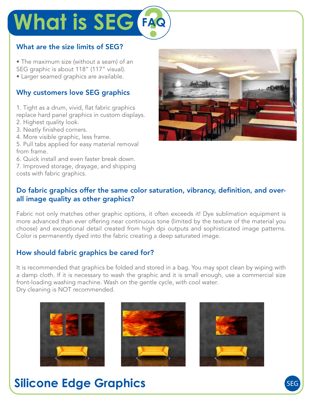### What are the size limits of SEG?

• The maximum size (without a seam) of an SEG graphic is about 118" (117" visual).

• Larger seamed graphics are available.

### Why customers love SEG graphics

1. Tight as a drum, vivid, flat fabric graphics replace hard panel graphics in custom displays. 2. Highest quality look.

- 3. Neatly finished corners.
- 4. More visible graphic, less frame.

5. Pull tabs applied for easy material removal from frame.

6. Quick install and even faster break down.

7. Improved storage, drayage, and shipping costs with fabric graphics.



### Do fabric graphics offer the same color saturation, vibrancy, definition, and overall image quality as other graphics?

Fabric not only matches other graphic options, it often exceeds it! Dye sublimation equipment is more advanced than ever offering near continuous tone (limited by the texture of the material you choose) and exceptional detail created from high dpi outputs and sophisticated image patterns. Color is permanently dyed into the fabric creating a deep saturated image.

### How should fabric graphics be cared for?

It is recommended that graphics be folded and stored in a bag. You may spot clean by wiping with a damp cloth. If it is necessary to wash the graphic and it is small enough, use a commercial size front-loading washing machine. Wash on the gentle cycle, with cool water. Dry cleaning is NOT recommended.







### **Silicone Edge Graphics**

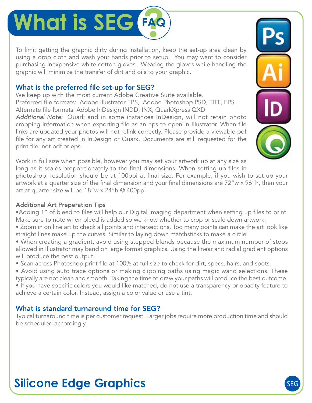To limit getting the graphic dirty during installation, keep the set-up area clean by using a drop cloth and wash your hands prior to setup. You may want to consider purchasing inexpensive white cotton gloves. Wearing the gloves while handling the graphic will minimize the transfer of dirt and oils to your graphic.

### What is the preferred file set-up for SEG?

We keep up with the most current Adobe Creative Suite available. Preferred file formats: Adobe Illustrator EPS, Adobe Photoshop PSD, TIFF, EPS Alternate file formats: Adobe InDesign INDD, INX, QuarkXpress QXD.

*Additional Note:* Quark and in some instances InDesign, will not retain photo cropping information when exporting file as an eps to open in Illustrator. When file links are updated your photos will not relink correctly. Please provide a viewable pdf file for any art created in InDesign or Quark. Documents are still requested for the print file, not pdf or eps.

Work in full size when possible, however you may set your artwork up at any size as long as it scales propor-tionately to the final dimensions. When setting up files in

photoshop, resolution should be at 100ppi at final size. For example, if you wish to set up your artwork at a quarter size of the final dimension and your final dimensions are 72"w x 96"h, then your art at quarter size will be 18"w x 24"h @ 400ppi.

#### Additional Art Preperation Tips

- •Adding 1" of bleed to files will help our Digital Imaging department when setting up files to print. Make sure to note when bleed is added so we know whether to crop or scale down artwork.
- Zoom in on line art to check all points and intersections. Too many points can make the art look like straight lines make up the curves. Similar to laying down matchsticks to make a circle.
- When creating a gradient, avoid using stepped blends because the maximum number of steps allowed in Illustrator may band on large format graphics. Using the linear and radial gradient options will produce the best output.
- Scan across Photoshop print file at 100% at full size to check for dirt, specs, hairs, and spots.
- Avoid using auto trace options or making clipping paths using magic wand selections. These typically are not clean and smooth. Taking the time to draw your paths will produce the best outcome. • If you have specific colors you would like matched, do not use a transparency or opacity feature to achieve a certain color. Instead, assign a color value or use a tint.

### What is standard turnaround time for SEG?

Typical turnaround time is per customer request. Larger jobs require more production time and should be scheduled accordingly.



## **Silicone Edge Graphics**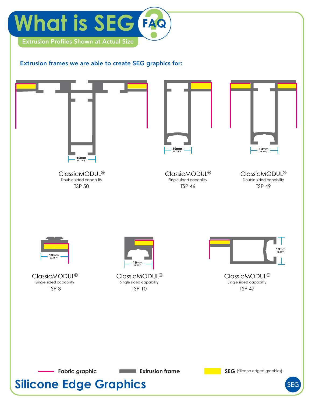

#### Extrusion frames we are able to create SEG graphics for:



**Silicone Edge Graphics** SEG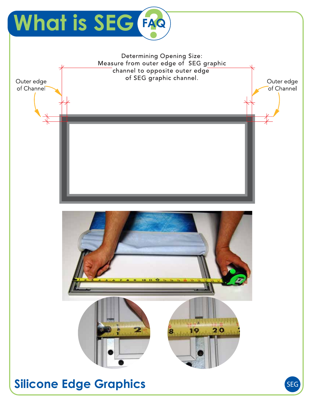

**Silicone Edge Graphics** SEG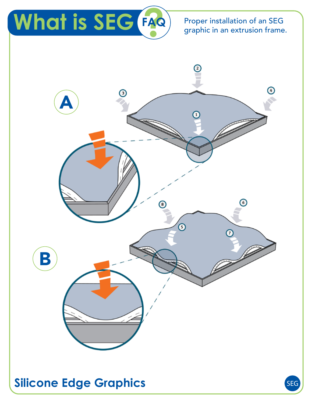Proper installation of an SEG graphic in an extrusion frame.

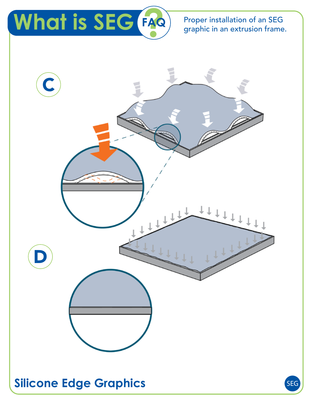Proper installation of an SEG graphic in an extrusion frame.